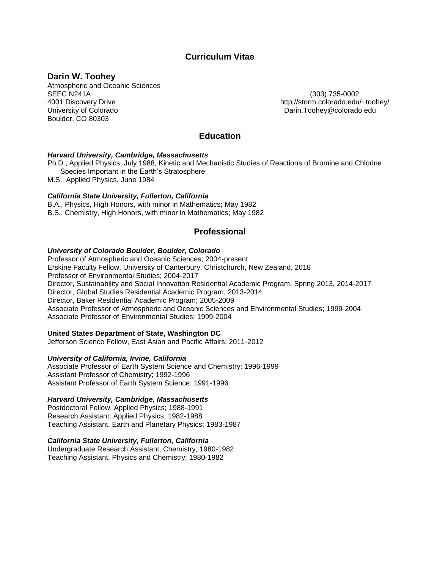# **Curriculum Vitae**

## **Darin W. Toohey**

Atmospheric and Oceanic Sciences SEEC N241A (303) 735-0002 4001 Discovery Drive http://storm.colorado.edu/~toohey/ University of Colorado **Darin.Toohey@colorado.edu** Boulder, CO 80303

# **Education**

### *Harvard University, Cambridge, Massachusetts*

Ph.D., Applied Physics, July 1988, Kinetic and Mechanistic Studies of Reactions of Bromine and Chlorine Species Important in the Earth's Stratosphere M.S., Applied Physics, June 1984

# *California State University, Fullerton, California*

B.A., Physics, High Honors, with minor in Mathematics; May 1982 B.S., Chemistry, High Honors, with minor in Mathematics; May 1982

# **Professional**

### *University of Colorado Boulder, Boulder, Colorado*

Professor of Atmospheric and Oceanic Sciences; 2004-present Erskine Faculty Fellow, University of Canterbury, Christchurch, New Zealand, 2018 Professor of Environmental Studies; 2004-2017 Director, Sustainability and Social Innovation Residential Academic Program, Spring 2013, 2014-2017 Director, Global Studies Residential Academic Program, 2013-2014 Director, Baker Residential Academic Program; 2005-2009 Associate Professor of Atmospheric and Oceanic Sciences and Environmental Studies; 1999-2004 Associate Professor of Environmental Studies; 1999-2004

### **United States Department of State, Washington DC**

Jefferson Science Fellow, East Asian and Pacific Affairs; 2011-2012

### *University of California, Irvine, California*

Associate Professor of Earth System Science and Chemistry; 1996-1999 Assistant Professor of Chemistry; 1992-1996 Assistant Professor of Earth System Science; 1991-1996

#### *Harvard University, Cambridge, Massachusetts*

Postdoctoral Fellow, Applied Physics; 1988-1991 Research Assistant, Applied Physics; 1982-1988 Teaching Assistant, Earth and Planetary Physics; 1983-1987

### *California State University, Fullerton, California*

Undergraduate Research Assistant, Chemistry; 1980-1982 Teaching Assistant, Physics and Chemistry; 1980-1982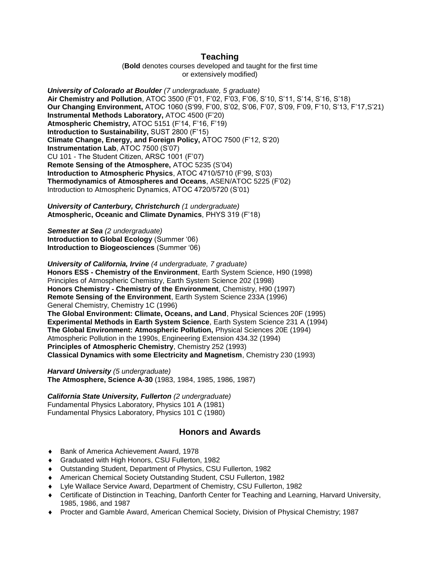## **Teaching**

(**Bold** denotes courses developed and taught for the first time or extensively modified)

*University of Colorado at Boulder (7 undergraduate, 5 graduate)* **Air Chemistry and Pollution**, ATOC 3500 (F'01, F'02, F'03, F'06, S'10, S'11, S'14, S'16, S'18) **Our Changing Environment,** ATOC 1060 (S'99, F'00, S'02, S'06, F'07, S'09, F'09, F'10, S'13, F'17,S'21) **Instrumental Methods Laboratory,** ATOC 4500 (F'20) **Atmospheric Chemistry,** ATOC 5151 (F'14, F'16, F'19) **Introduction to Sustainability,** SUST 2800 (F'15) **Climate Change, Energy, and Foreign Policy,** ATOC 7500 (F'12, S'20) **Instrumentation Lab**, ATOC 7500 (S'07) CU 101 - The Student Citizen, ARSC 1001 (F'07) **Remote Sensing of the Atmosphere,** ATOC 5235 (S'04) **Introduction to Atmospheric Physics**, ATOC 4710/5710 (F'99, S'03) **Thermodynamics of Atmospheres and Oceans**, ASEN/ATOC 5225 (F'02) Introduction to Atmospheric Dynamics, ATOC 4720/5720 (S'01)

*University of Canterbury, Christchurch (1 undergraduate)* **Atmospheric, Oceanic and Climate Dynamics**, PHYS 319 (F'18)

*Semester at Sea (2 undergraduate)* **Introduction to Global Ecology** (Summer '06) **Introduction to Biogeosciences** (Summer '06)

*University of California, Irvine (4 undergraduate, 7 graduate)* **Honors ESS - Chemistry of the Environment**, Earth System Science, H90 (1998) Principles of Atmospheric Chemistry, Earth System Science 202 (1998) **Honors Chemistry - Chemistry of the Environment**, Chemistry, H90 (1997) **Remote Sensing of the Environment**, Earth System Science 233A (1996) General Chemistry, Chemistry 1C (1996) **The Global Environment: Climate, Oceans, and Land**, Physical Sciences 20F (1995) **Experimental Methods in Earth System Science**, Earth System Science 231 A (1994) **The Global Environment: Atmospheric Pollution,** Physical Sciences 20E (1994) Atmospheric Pollution in the 1990s, Engineering Extension 434.32 (1994) **Principles of Atmospheric Chemistry**, Chemistry 252 (1993) **Classical Dynamics with some Electricity and Magnetism**, Chemistry 230 (1993)

*Harvard University (5 undergraduate)* **The Atmosphere, Science A-30** (1983, 1984, 1985, 1986, 1987)

*California State University, Fullerton (2 undergraduate)* Fundamental Physics Laboratory, Physics 101 A (1981) Fundamental Physics Laboratory, Physics 101 C (1980)

## **Honors and Awards**

- ◆ Bank of America Achievement Award, 1978
- Graduated with High Honors, CSU Fullerton, 1982
- Outstanding Student, Department of Physics, CSU Fullerton, 1982
- American Chemical Society Outstanding Student, CSU Fullerton, 1982
- Lyle Wallace Service Award, Department of Chemistry, CSU Fullerton, 1982
- Certificate of Distinction in Teaching, Danforth Center for Teaching and Learning, Harvard University, 1985, 1986, and 1987
- Procter and Gamble Award, American Chemical Society, Division of Physical Chemistry; 1987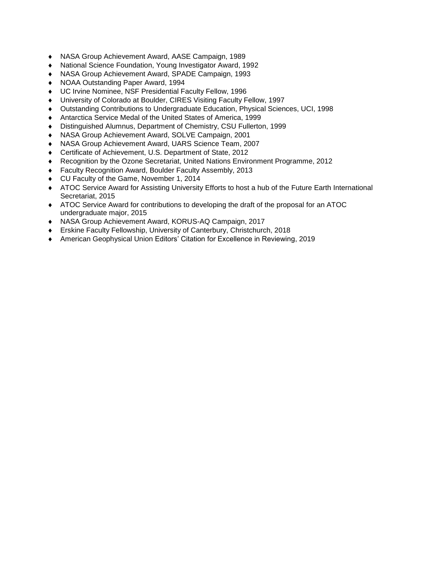- NASA Group Achievement Award, AASE Campaign, 1989
- National Science Foundation, Young Investigator Award, 1992
- NASA Group Achievement Award, SPADE Campaign, 1993
- NOAA Outstanding Paper Award, 1994
- UC Irvine Nominee, NSF Presidential Faculty Fellow, 1996
- University of Colorado at Boulder, CIRES Visiting Faculty Fellow, 1997
- Outstanding Contributions to Undergraduate Education, Physical Sciences, UCI, 1998
- Antarctica Service Medal of the United States of America, 1999
- Distinguished Alumnus, Department of Chemistry, CSU Fullerton, 1999
- NASA Group Achievement Award, SOLVE Campaign, 2001
- NASA Group Achievement Award, UARS Science Team, 2007
- Certificate of Achievement, U.S. Department of State, 2012
- Recognition by the Ozone Secretariat, United Nations Environment Programme, 2012
- Faculty Recognition Award, Boulder Faculty Assembly, 2013
- ◆ CU Faculty of the Game, November 1, 2014
- ATOC Service Award for Assisting University Efforts to host a hub of the Future Earth International Secretariat, 2015
- ATOC Service Award for contributions to developing the draft of the proposal for an ATOC undergraduate major, 2015
- NASA Group Achievement Award, KORUS-AQ Campaign, 2017
- Erskine Faculty Fellowship, University of Canterbury, Christchurch, 2018
- American Geophysical Union Editors' Citation for Excellence in Reviewing, 2019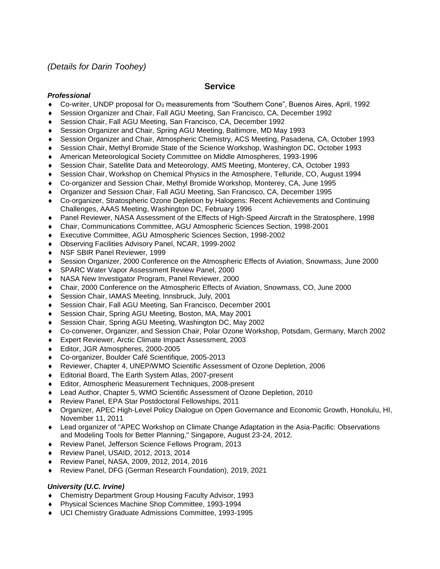# *(Details for Darin Toohey)*

# **Service**

## *Professional*

- Co-writer, UNDP proposal for O<sup>3</sup> measurements from "Southern Cone", Buenos Aires, April, 1992
- Session Organizer and Chair, Fall AGU Meeting, San Francisco, CA, December 1992
- Session Chair, Fall AGU Meeting, San Francisco, CA, December 1992
- Session Organizer and Chair, Spring AGU Meeting, Baltimore, MD May 1993
- Session Organizer and Chair, Atmospheric Chemistry, ACS Meeting, Pasadena, CA, October 1993
- Session Chair, Methyl Bromide State of the Science Workshop, Washington DC, October 1993
- American Meteorological Society Committee on Middle Atmospheres, 1993-1996
- Session Chair, Satellite Data and Meteorology, AMS Meeting, Monterey, CA, October 1993
- Session Chair, Workshop on Chemical Physics in the Atmosphere, Telluride, CO, August 1994
- Co-organizer and Session Chair, Methyl Bromide Workshop, Monterey, CA, June 1995
- Organizer and Session Chair, Fall AGU Meeting, San Francisco, CA, December 1995
- Co-organizer, Stratospheric Ozone Depletion by Halogens: Recent Achievements and Continuing Challenges, AAAS Meeting, Washington DC, February 1996
- Panel Reviewer, NASA Assessment of the Effects of High-Speed Aircraft in the Stratosphere, 1998
- Chair, Communications Committee, AGU Atmospheric Sciences Section, 1998-2001
- Executive Committee, AGU Atmospheric Sciences Section, 1998-2002
- Observing Facilities Advisory Panel, NCAR, 1999-2002
- NSF SBIR Panel Reviewer, 1999
- Session Organizer, 2000 Conference on the Atmospheric Effects of Aviation, Snowmass, June 2000
- SPARC Water Vapor Assessment Review Panel, 2000
- NASA New Investigator Program, Panel Reviewer, 2000
- Chair, 2000 Conference on the Atmospheric Effects of Aviation, Snowmass, CO, June 2000
- Session Chair, IAMAS Meeting, Innsbruck, July, 2001
- Session Chair, Fall AGU Meeting, San Francisco, December 2001
- Session Chair, Spring AGU Meeting, Boston, MA, May 2001
- Session Chair, Spring AGU Meeting, Washington DC, May 2002
- Co-convener, Organizer, and Session Chair, Polar Ozone Workshop, Potsdam, Germany, March 2002
- Expert Reviewer, Arctic Climate Impact Assessment, 2003
- Editor, JGR Atmospheres, 2000-2005
- Co-organizer, Boulder Café Scientifique, 2005-2013
- Reviewer, Chapter 4, UNEP/WMO Scientific Assessment of Ozone Depletion, 2006
- Editorial Board, The Earth System Atlas, 2007-present
- Editor, Atmospheric Measurement Techniques, 2008-present
- Lead Author, Chapter 5, WMO Scientific Assessment of Ozone Depletion, 2010
- Review Panel, EPA Star Postdoctoral Fellowships, 2011
- Organizer, APEC High-Level Policy Dialogue on Open Governance and Economic Growth, Honolulu, HI, November 11, 2011
- Lead organizer of "APEC Workshop on Climate Change Adaptation in the Asia-Pacific: Observations and Modeling Tools for Better Planning," Singapore, August 23-24, 2012.
- Review Panel, Jefferson Science Fellows Program, 2013
- Review Panel, USAID, 2012, 2013, 2014
- Review Panel, NASA, 2009, 2012, 2014, 2016
- Review Panel, DFG (German Research Foundation), 2019, 2021

## *University (U.C. Irvine)*

- Chemistry Department Group Housing Faculty Advisor, 1993
- Physical Sciences Machine Shop Committee, 1993-1994
- UCI Chemistry Graduate Admissions Committee, 1993-1995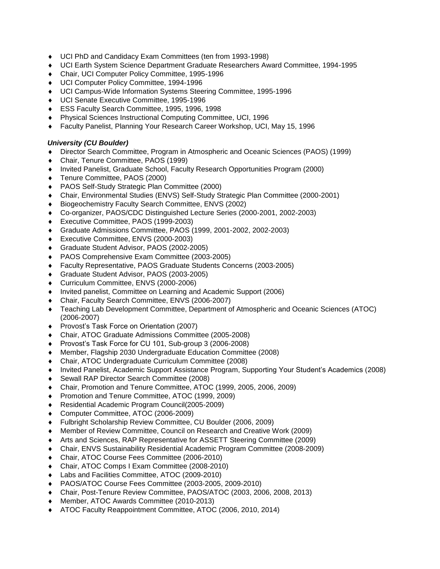- UCI PhD and Candidacy Exam Committees (ten from 1993-1998)
- UCI Earth System Science Department Graduate Researchers Award Committee, 1994-1995
- Chair, UCI Computer Policy Committee, 1995-1996
- UCI Computer Policy Committee, 1994-1996
- UCI Campus-Wide Information Systems Steering Committee, 1995-1996
- UCI Senate Executive Committee, 1995-1996
- ESS Faculty Search Committee, 1995, 1996, 1998
- Physical Sciences Instructional Computing Committee, UCI, 1996
- Faculty Panelist, Planning Your Research Career Workshop, UCI, May 15, 1996

### *University (CU Boulder)*

- Director Search Committee, Program in Atmospheric and Oceanic Sciences (PAOS) (1999)
- Chair, Tenure Committee, PAOS (1999)
- Invited Panelist, Graduate School, Faculty Research Opportunities Program (2000)
- Tenure Committee, PAOS (2000)
- PAOS Self-Study Strategic Plan Committee (2000)
- Chair, Environmental Studies (ENVS) Self-Study Strategic Plan Committee (2000-2001)
- Biogeochemistry Faculty Search Committee, ENVS (2002)
- Co-organizer, PAOS/CDC Distinguished Lecture Series (2000-2001, 2002-2003)
- Executive Committee, PAOS (1999-2003)
- Graduate Admissions Committee, PAOS (1999, 2001-2002, 2002-2003)
- ◆ Executive Committee, ENVS (2000-2003)
- Graduate Student Advisor, PAOS (2002-2005)
- PAOS Comprehensive Exam Committee (2003-2005)
- Faculty Representative, PAOS Graduate Students Concerns (2003-2005)
- Graduate Student Advisor, PAOS (2003-2005)
- Curriculum Committee, ENVS (2000-2006)
- Invited panelist, Committee on Learning and Academic Support (2006)
- Chair, Faculty Search Committee, ENVS (2006-2007)
- Teaching Lab Development Committee, Department of Atmospheric and Oceanic Sciences (ATOC) (2006-2007)
- ◆ Provost's Task Force on Orientation (2007)
- Chair, ATOC Graduate Admissions Committee (2005-2008)
- Provost's Task Force for CU 101, Sub-group 3 (2006-2008)
- Member, Flagship 2030 Undergraduate Education Committee (2008)
- Chair, ATOC Undergraduate Curriculum Committee (2008)
- Invited Panelist, Academic Support Assistance Program, Supporting Your Student's Academics (2008)
- Sewall RAP Director Search Committee (2008)
- Chair, Promotion and Tenure Committee, ATOC (1999, 2005, 2006, 2009)
- Promotion and Tenure Committee, ATOC (1999, 2009)
- Residential Academic Program Council(2005-2009)
- Computer Committee, ATOC (2006-2009)
- Fulbright Scholarship Review Committee, CU Boulder (2006, 2009)
- Member of Review Committee, Council on Research and Creative Work (2009)
- Arts and Sciences, RAP Representative for ASSETT Steering Committee (2009)
- Chair, ENVS Sustainability Residential Academic Program Committee (2008-2009)
- Chair, ATOC Course Fees Committee (2006-2010)
- Chair, ATOC Comps I Exam Committee (2008-2010)
- Labs and Facilities Committee, ATOC (2009-2010)
- PAOS/ATOC Course Fees Committee (2003-2005, 2009-2010)
- Chair, Post-Tenure Review Committee, PAOS/ATOC (2003, 2006, 2008, 2013)
- Member, ATOC Awards Committee (2010-2013)
- ATOC Faculty Reappointment Committee, ATOC (2006, 2010, 2014)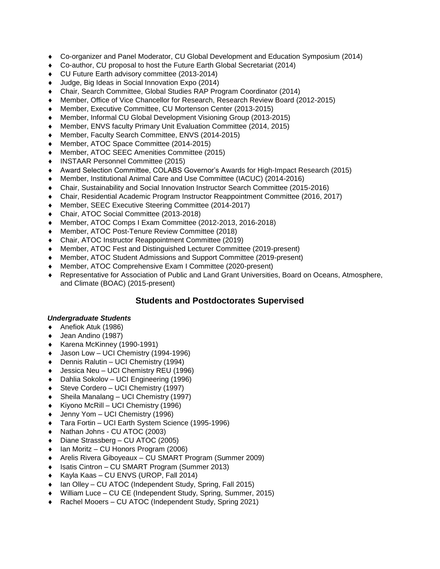- Co-organizer and Panel Moderator, CU Global Development and Education Symposium (2014)
- Co-author, CU proposal to host the Future Earth Global Secretariat (2014)
- CU Future Earth advisory committee (2013-2014)
- Judge, Big Ideas in Social Innovation Expo (2014)
- Chair, Search Committee, Global Studies RAP Program Coordinator (2014)
- Member, Office of Vice Chancellor for Research, Research Review Board (2012-2015)
- Member, Executive Committee, CU Mortenson Center (2013-2015)
- Member, Informal CU Global Development Visioning Group (2013-2015)
- Member, ENVS faculty Primary Unit Evaluation Committee (2014, 2015)
- Member, Faculty Search Committee, ENVS (2014-2015)
- Member, ATOC Space Committee (2014-2015)
- Member, ATOC SEEC Amenities Committee (2015)
- INSTAAR Personnel Committee (2015)
- Award Selection Committee, COLABS Governor's Awards for High-Impact Research (2015)
- Member, Institutional Animal Care and Use Committee (IACUC) (2014-2016)
- Chair, Sustainability and Social Innovation Instructor Search Committee (2015-2016)
- Chair, Residential Academic Program Instructor Reappointment Committee (2016, 2017)
- Member, SEEC Executive Steering Committee (2014-2017)
- Chair, ATOC Social Committee (2013-2018)
- Member, ATOC Comps I Exam Committee (2012-2013, 2016-2018)
- Member, ATOC Post-Tenure Review Committee (2018)
- Chair, ATOC Instructor Reappointment Committee (2019)
- Member, ATOC Fest and Distinguished Lecturer Committee (2019-present)
- Member, ATOC Student Admissions and Support Committee (2019-present)
- Member, ATOC Comprehensive Exam I Committee (2020-present)
- Representative for Association of Public and Land Grant Universities, Board on Oceans, Atmosphere, and Climate (BOAC) (2015-present)

## **Students and Postdoctorates Supervised**

### *Undergraduate Students*

- ◆ Anefiok Atuk (1986)
- ◆ Jean Andino (1987)
- ◆ Karena McKinney (1990-1991)
- ◆ Jason Low UCI Chemistry (1994-1996)
- Dennis Ralutin UCI Chemistry (1994)
- Jessica Neu UCI Chemistry REU (1996)
- Dahlia Sokolov UCI Engineering (1996)
- Steve Cordero UCI Chemistry (1997)
- Sheila Manalang UCI Chemistry (1997)
- Kiyono McRill UCI Chemistry (1996)
- ◆ Jenny Yom UCI Chemistry (1996)
- Tara Fortin UCI Earth System Science (1995-1996)
- Nathan Johns CU ATOC (2003)
- Diane Strassberg CU ATOC (2005)
- Ian Moritz CU Honors Program (2006)
- Arelis Rivera Giboyeaux CU SMART Program (Summer 2009)
- Isatis Cintron CU SMART Program (Summer 2013)
- ◆ Kayla Kaas CU ENVS (UROP, Fall 2014)
- ◆ Ian Olley CU ATOC (Independent Study, Spring, Fall 2015)
- William Luce CU CE (Independent Study, Spring, Summer, 2015)
- Rachel Mooers CU ATOC (Independent Study, Spring 2021)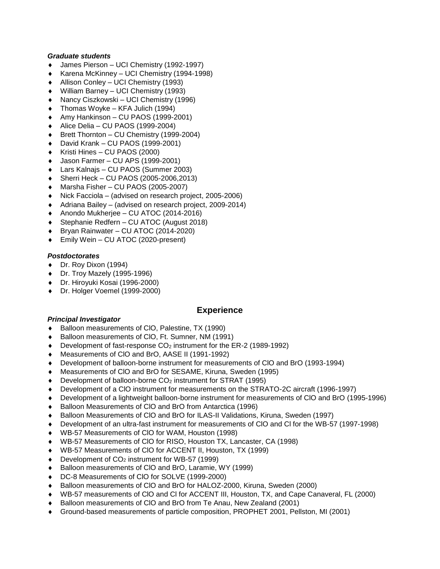### *Graduate students*

- James Pierson UCI Chemistry (1992-1997)
- Karena McKinney UCI Chemistry (1994-1998)
- Allison Conley UCI Chemistry (1993)
- William Barney UCI Chemistry (1993)
- ◆ Nancy Ciszkowski UCI Chemistry (1996)
- Thomas Woyke KFA Julich (1994)
- Amy Hankinson CU PAOS (1999-2001)
- Alice Delia CU PAOS (1999-2004)
- Brett Thornton CU Chemistry (1999-2004)
- David Krank CU PAOS (1999-2001)
- Kristi Hines CU PAOS (2000)
- Jason Farmer CU APS (1999-2001)
- Lars Kalnajs CU PAOS (Summer 2003)
- Sherri Heck CU PAOS (2005-2006,2013)
- Marsha Fisher CU PAOS (2005-2007)
- Nick Facciola (advised on research project, 2005-2006)
- Adriana Bailey (advised on research project, 2009-2014)
- ◆ Anondo Mukherjee CU ATOC (2014-2016)
- Stephanie Redfern CU ATOC (August 2018)
- Bryan Rainwater CU ATOC (2014-2020)
- Emily Wein CU ATOC (2020-present)

## *Postdoctorates*

- Dr. Roy Dixon (1994)
- ◆ Dr. Troy Mazely (1995-1996)
- Dr. Hiroyuki Kosai (1996-2000)
- Dr. Holger Voemel (1999-2000)

# **Experience**

## *Principal Investigator*

- Balloon measurements of ClO, Palestine, TX (1990)
- Balloon measurements of ClO, Ft. Sumner, NM (1991)
- $\bullet$  Development of fast-response CO<sub>2</sub> instrument for the ER-2 (1989-1992)
- Measurements of ClO and BrO, AASE II (1991-1992)
- Development of balloon-borne instrument for measurements of ClO and BrO (1993-1994)
- Measurements of ClO and BrO for SESAME, Kiruna, Sweden (1995)
- Development of balloon-borne CO<sub>2</sub> instrument for STRAT (1995)
- Development of a ClO instrument for measurements on the STRATO-2C aircraft (1996-1997)
- Development of a lightweight balloon-borne instrument for measurements of ClO and BrO (1995-1996)
- Balloon Measurements of ClO and BrO from Antarctica (1996)
- Balloon Measurements of ClO and BrO for ILAS-II Validations, Kiruna, Sweden (1997)
- Development of an ultra-fast instrument for measurements of ClO and Cl for the WB-57 (1997-1998)
- WB-57 Measurements of ClO for WAM, Houston (1998)
- WB-57 Measurements of ClO for RISO, Houston TX, Lancaster, CA (1998)
- WB-57 Measurements of ClO for ACCENT II, Houston, TX (1999)
- $\bullet$  Development of CO<sub>2</sub> instrument for WB-57 (1999)
- Balloon measurements of ClO and BrO, Laramie, WY (1999)
- DC-8 Measurements of ClO for SOLVE (1999-2000)
- Balloon measurements of ClO and BrO for HALOZ-2000, Kiruna, Sweden (2000)
- WB-57 measurements of ClO and Cl for ACCENT III, Houston, TX, and Cape Canaveral, FL (2000)
- Balloon measurements of ClO and BrO from Te Anau, New Zealand (2001)
- Ground-based measurements of particle composition, PROPHET 2001, Pellston, MI (2001)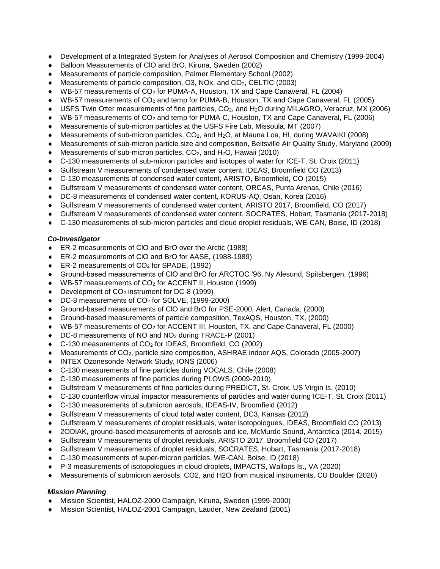- Development of a Integrated System for Analyses of Aerosol Composition and Chemistry (1999-2004)
- Balloon Measurements of ClO and BrO, Kiruna, Sweden (2002)
- Measurements of particle composition, Palmer Elementary School (2002)
- Measurements of particle composition, O3, NOx, and CO2, CELTIC (2003)
- WB-57 measurements of CO<sup>2</sup> for PUMA-A, Houston, TX and Cape Canaveral, FL (2004)
- WB-57 measurements of CO<sub>2</sub> and temp for PUMA-B, Houston, TX and Cape Canaveral, FL (2005)
- USFS Twin Otter measurements of fine particles, CO<sub>2</sub>, and H<sub>2</sub>O during MILAGRO, Veracruz, MX (2006)
- WB-57 measurements of CO<sub>2</sub> and temp for PUMA-C, Houston, TX and Cape Canaveral, FL (2006)
- Measurements of sub-micron particles at the USFS Fire Lab, Missoula, MT (2007)
- Measurements of sub-micron particles, CO<sub>2</sub>, and H<sub>2</sub>O, at Mauna Loa, HI, during WAVAIKI (2008)
- Measurements of sub-micron particle size and composition, Beltsville Air Quality Study, Maryland (2009)
- Measurements of sub-micron particles, CO<sub>2</sub>, and H<sub>2</sub>O, Hawaii (2010)
- C-130 measurements of sub-micron particles and isotopes of water for ICE-T, St. Croix (2011)
- Gulfstream V measurements of condensed water content, IDEAS, Broomfield CO (2013)
- C-130 measurements of condensed water content, ARISTO, Broomfield, CO (2015)
- Gulfstream V measurements of condensed water content, ORCAS, Punta Arenas, Chile (2016)
- DC-8 measurements of condensed water content, KORUS-AQ, Osan, Korea (2016)
- Gulfstream V measurements of condensed water content, ARISTO 2017, Broomfield, CO (2017)
- Gulfstream V measurements of condensed water content, SOCRATES, Hobart, Tasmania (2017-2018)
- C-130 measurements of sub-micron particles and cloud droplet residuals, WE-CAN, Boise, ID (2018)

### *Co-Investigator*

- ◆ ER-2 measurements of CIO and BrO over the Arctic (1988)
- ER-2 measurements of ClO and BrO for AASE, (1988-1989)
- ER-2 measurements of CO<sub>2</sub> for SPADE, (1992)
- Ground-based measurements of ClO and BrO for ARCTOC '96, Ny Alesund, Spitsbergen, (1996)
- ◆ WB-57 measurements of CO<sub>2</sub> for ACCENT II, Houston (1999)
- Development of CO<sub>2</sub> instrument for DC-8 (1999)
- ◆ DC-8 measurements of CO<sub>2</sub> for SOLVE, (1999-2000)
- Ground-based measurements of ClO and BrO for PSE-2000, Alert, Canada, (2000)
- Ground-based measurements of particle composition, TexAQS, Houston, TX, (2000)
- WB-57 measurements of CO<sup>2</sup> for ACCENT III, Houston, TX, and Cape Canaveral, FL (2000)
- ◆ DC-8 measurements of NO and NO<sub>2</sub> during TRACE-P (2001)
- $\bullet$  C-130 measurements of CO<sub>2</sub> for IDEAS, Broomfield, CO (2002)
- Measurements of CO2, particle size composition, ASHRAE indoor AQS, Colorado (2005-2007)
- INTEX Ozonesonde Network Study, IONS (2006)
- C-130 measurements of fine particles during VOCALS, Chile (2008)
- C-130 measurements of fine particles during PLOWS (2009-2010)
- Gulfstream V measurements of fine particles during PREDICT, St. Croix, US Virgin Is. (2010)
- C-130 counterflow virtual impactor measurements of particles and water during ICE-T, St. Croix (2011)
- C-130 measurements of submicron aerosols, IDEAS-IV, Broomfield (2012)
- Gulfstream V measurements of cloud total water content, DC3, Kansas (2012)
- Gulfstream V measurements of droplet residuals, water isotopologues, IDEAS, Broomfield CO (2013)
- 2ODIAK, ground-based measurements of aerosols and ice, McMurdo Sound, Antarctica (2014, 2015)
- Gulfstream V measurements of droplet residuals, ARISTO 2017, Broomfield CO (2017)
- Gulfstream V measurements of droplet residuals, SOCRATES, Hobart, Tasmania (2017-2018)
- C-130 measurements of super-micron particles, WE-CAN, Boise, ID (2018)
- P-3 measurements of isotopologues in cloud droplets, IMPACTS, Wallops Is., VA (2020)
- Measurements of submicron aerosols, CO2, and H2O from musical instruments, CU Boulder (2020)

## *Mission Planning*

- Mission Scientist, HALOZ-2000 Campaign, Kiruna, Sweden (1999-2000)
- Mission Scientist, HALOZ-2001 Campaign, Lauder, New Zealand (2001)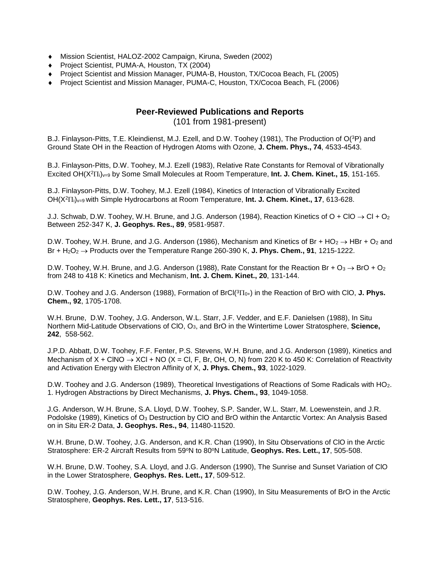- Mission Scientist, HALOZ-2002 Campaign, Kiruna, Sweden (2002)
- ◆ Project Scientist, PUMA-A, Houston, TX (2004)
- Project Scientist and Mission Manager, PUMA-B, Houston, TX/Cocoa Beach, FL (2005)
- Project Scientist and Mission Manager, PUMA-C, Houston, TX/Cocoa Beach, FL (2006)

# **Peer-Reviewed Publications and Reports** (101 from 1981-present)

B.J. Finlayson-Pitts, T.E. Kleindienst, M.J. Ezell, and D.W. Toohey (1981), The Production of O(<sup>3</sup>P) and Ground State OH in the Reaction of Hydrogen Atoms with Ozone, **J. Chem. Phys., 74**, 4533-4543.

B.J. Finlayson-Pitts, D.W. Toohey, M.J. Ezell (1983), Relative Rate Constants for Removal of Vibrationally Excited OH(X<sup>2</sup>IT<sub>i</sub>)<sub>v=9</sub> by Some Small Molecules at Room Temperature, **Int. J. Chem. Kinet., 15**, 151-165.

B.J. Finlayson-Pitts, D.W. Toohey, M.J. Ezell (1984), Kinetics of Interaction of Vibrationally Excited OH(X<sup>2</sup>i)v=9 with Simple Hydrocarbons at Room Temperature, **Int. J. Chem. Kinet., 17**, 613-628.

J.J. Schwab, D.W. Toohey, W.H. Brune, and J.G. Anderson (1984), Reaction Kinetics of O + ClO  $\rightarrow$  Cl + O<sub>2</sub> Between 252-347 K, **J. Geophys. Res., 89**, 9581-9587.

D.W. Toohey, W.H. Brune, and J.G. Anderson (1986), Mechanism and Kinetics of Br + HO<sub>2</sub>  $\rightarrow$  HBr + O<sub>2</sub> and Br +  $H_2O_2 \rightarrow$  Products over the Temperature Range 260-390 K, **J. Phys. Chem., 91**, 1215-1222.

D.W. Toohey, W.H. Brune, and J.G. Anderson (1988), Rate Constant for the Reaction Br +  $O_3 \rightarrow$  BrO +  $O_2$ from 248 to 418 K: Kinetics and Mechanism, **Int. J. Chem. Kinet., 20**, 131-144.

D.W. Toohey and J.G. Anderson (1988), Formation of BrCl(<sup>3</sup>II<sub>0+</sub>) in the Reaction of BrO with ClO, **J. Phys. Chem., 92**, 1705-1708.

W.H. Brune, D.W. Toohey, J.G. Anderson, W.L. Starr, J.F. Vedder, and E.F. Danielsen (1988), In Situ Northern Mid-Latitude Observations of ClO, O3, and BrO in the Wintertime Lower Stratosphere, **Science, 242**, 558-562.

J.P.D. Abbatt, D.W. Toohey, F.F. Fenter, P.S. Stevens, W.H. Brune, and J.G. Anderson (1989), Kinetics and Mechanism of  $X + CINO \rightarrow XCI + NO$  (X = Cl, F, Br, OH, O, N) from 220 K to 450 K: Correlation of Reactivity and Activation Energy with Electron Affinity of X, **J. Phys. Chem., 93**, 1022-1029.

D.W. Toohey and J.G. Anderson (1989), Theoretical Investigations of Reactions of Some Radicals with HO<sub>2</sub>. 1. Hydrogen Abstractions by Direct Mechanisms, **J. Phys. Chem., 93**, 1049-1058.

J.G. Anderson, W.H. Brune, S.A. Lloyd, D.W. Toohey, S.P. Sander, W.L. Starr, M. Loewenstein, and J.R. Podolske (1989), Kinetics of O<sup>3</sup> Destruction by ClO and BrO within the Antarctic Vortex: An Analysis Based on in Situ ER-2 Data, **J. Geophys. Res., 94**, 11480-11520.

W.H. Brune, D.W. Toohey, J.G. Anderson, and K.R. Chan (1990), In Situ Observations of ClO in the Arctic Stratosphere: ER-2 Aircraft Results from 59°N to 80°N Latitude, Geophys. Res. Lett., 17, 505-508.

W.H. Brune, D.W. Toohey, S.A. Lloyd, and J.G. Anderson (1990), The Sunrise and Sunset Variation of ClO in the Lower Stratosphere, **Geophys. Res. Lett., 17**, 509-512.

D.W. Toohey, J.G. Anderson, W.H. Brune, and K.R. Chan (1990), In Situ Measurements of BrO in the Arctic Stratosphere, **Geophys. Res. Lett., 17**, 513-516.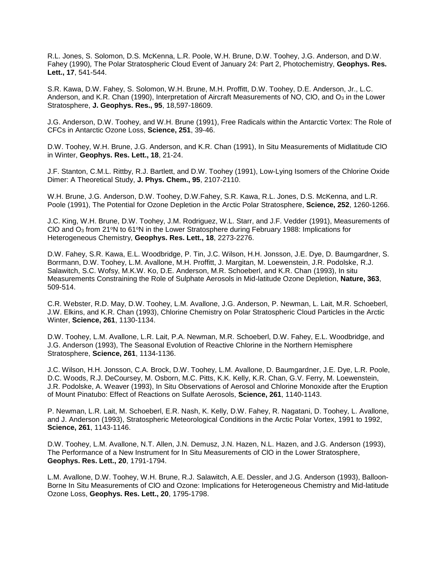R.L. Jones, S. Solomon, D.S. McKenna, L.R. Poole, W.H. Brune, D.W. Toohey, J.G. Anderson, and D.W. Fahey (1990)*,* The Polar Stratospheric Cloud Event of January 24: Part 2, Photochemistry, **Geophys. Res. Lett., 17**, 541-544.

S.R. Kawa, D.W. Fahey, S. Solomon, W.H. Brune, M.H. Proffitt, D.W. Toohey, D.E. Anderson, Jr., L.C. Anderson, and K.R. Chan (1990), Interpretation of Aircraft Measurements of NO, CIO, and  $O_3$  in the Lower Stratosphere, **J. Geophys. Res., 95**, 18,597-18609.

J.G. Anderson, D.W. Toohey, and W.H. Brune (1991), Free Radicals within the Antarctic Vortex: The Role of CFCs in Antarctic Ozone Loss, **Science, 251**, 39-46.

D.W. Toohey, W.H. Brune, J.G. Anderson, and K.R. Chan (1991), In Situ Measurements of Midlatitude ClO in Winter, **Geophys. Res. Lett., 18**, 21-24.

J.F. Stanton, C.M.L. Rittby, R.J. Bartlett, and D.W. Toohey (1991), Low-Lying Isomers of the Chlorine Oxide Dimer: A Theoretical Study, **J. Phys. Chem., 95**, 2107-2110.

W.H. Brune, J.G. Anderson, D.W. Toohey, D.W.Fahey, S.R. Kawa, R.L. Jones, D.S. McKenna, and L.R. Poole (1991), The Potential for Ozone Depletion in the Arctic Polar Stratosphere, **Science, 252**, 1260-1266.

J.C. King, W.H. Brune, D.W. Toohey, J.M. Rodriguez, W.L. Starr, and J.F. Vedder (1991), Measurements of CIO and  $O_3$  from 21<sup>o</sup>N to 61<sup>o</sup>N in the Lower Stratosphere during February 1988: Implications for Heterogeneous Chemistry, **Geophys. Res. Lett., 18**, 2273-2276.

D.W. Fahey, S.R. Kawa, E.L. Woodbridge, P. Tin, J.C. Wilson, H.H. Jonsson, J.E. Dye, D. Baumgardner, S. Borrmann, D.W. Toohey, L.M. Avallone, M.H. Proffitt, J. Margitan, M. Loewenstein, J.R. Podolske, R.J. Salawitch, S.C. Wofsy, M.K.W. Ko, D.E. Anderson, M.R. Schoeberl, and K.R. Chan (1993), In situ Measurements Constraining the Role of Sulphate Aerosols in Mid-latitude Ozone Depletion, **Nature, 363**, 509-514.

C.R. Webster, R.D. May, D.W. Toohey, L.M. Avallone, J.G. Anderson, P. Newman, L. Lait, M.R. Schoeberl, J.W. Elkins, and K.R. Chan (1993), Chlorine Chemistry on Polar Stratospheric Cloud Particles in the Arctic Winter, **Science, 261**, 1130-1134.

D.W. Toohey, L.M. Avallone, L.R. Lait, P.A. Newman, M.R. Schoeberl, D.W. Fahey, E.L. Woodbridge, and J.G. Anderson (1993), The Seasonal Evolution of Reactive Chlorine in the Northern Hemisphere Stratosphere, **Science, 261**, 1134-1136.

J.C. Wilson, H.H. Jonsson, C.A. Brock, D.W. Toohey, L.M. Avallone, D. Baumgardner, J.E. Dye, L.R. Poole, D.C. Woods, R.J. DeCoursey, M. Osborn, M.C. Pitts, K.K. Kelly, K.R. Chan, G.V. Ferry, M. Loewenstein, J.R. Podolske, A. Weaver (1993), In Situ Observations of Aerosol and Chlorine Monoxide after the Eruption of Mount Pinatubo: Effect of Reactions on Sulfate Aerosols, **Science, 261**, 1140-1143.

P. Newman, L.R. Lait, M. Schoeberl, E.R. Nash, K. Kelly, D.W. Fahey, R. Nagatani, D. Toohey, L. Avallone, and J. Anderson (1993), Stratospheric Meteorological Conditions in the Arctic Polar Vortex, 1991 to 1992, **Science, 261**, 1143-1146.

D.W. Toohey, L.M. Avallone, N.T. Allen, J.N. Demusz, J.N. Hazen, N.L. Hazen, and J.G. Anderson (1993), The Performance of a New Instrument for In Situ Measurements of ClO in the Lower Stratosphere, **Geophys. Res. Lett., 20**, 1791-1794.

L.M. Avallone, D.W. Toohey, W.H. Brune, R.J. Salawitch, A.E. Dessler, and J.G. Anderson (1993), Balloon-Borne In Situ Measurements of ClO and Ozone: Implications for Heterogeneous Chemistry and Mid-latitude Ozone Loss, **Geophys. Res. Lett., 20**, 1795-1798.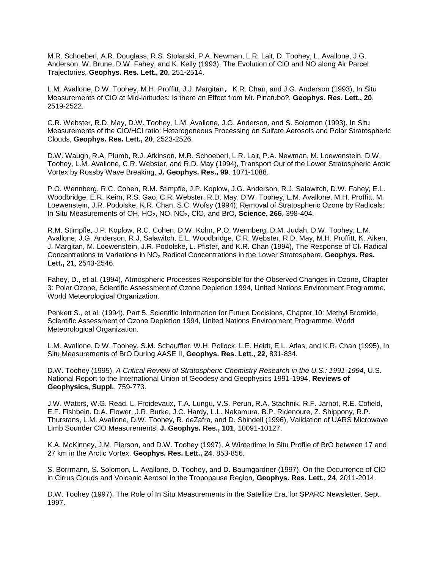M.R. Schoeberl, A.R. Douglass, R.S. Stolarski, P.A. Newman, L.R. Lait, D. Toohey, L. Avallone, J.G. Anderson, W. Brune, D.W. Fahey, and K. Kelly (1993), The Evolution of ClO and NO along Air Parcel Trajectories, **Geophys. Res. Lett., 20**, 251-2514.

L.M. Avallone, D.W. Toohey, M.H. Proffitt, J.J. Margitan, K.R. Chan, and J.G. Anderson (1993), In Situ Measurements of ClO at Mid-latitudes: Is there an Effect from Mt. Pinatubo?, **Geophys. Res. Lett., 20**, 2519-2522.

C.R. Webster, R.D. May, D.W. Toohey, L.M. Avallone, J.G. Anderson, and S. Solomon (1993), In Situ Measurements of the ClO/HCl ratio: Heterogeneous Processing on Sulfate Aerosols and Polar Stratospheric Clouds, **Geophys. Res. Lett., 20**, 2523-2526.

D.W. Waugh, R.A. Plumb, R.J. Atkinson, M.R. Schoeberl, L.R. Lait, P.A. Newman, M. Loewenstein, D.W. Toohey, L.M. Avallone, C.R. Webster, and R.D. May (1994), Transport Out of the Lower Stratospheric Arctic Vortex by Rossby Wave Breaking, **J. Geophys. Res., 99**, 1071-1088.

P.O. Wennberg, R.C. Cohen, R.M. Stimpfle, J.P. Koplow, J.G. Anderson, R.J. Salawitch, D.W. Fahey, E.L. Woodbridge, E.R. Keim, R.S. Gao, C.R. Webster, R.D. May, D.W. Toohey, L.M. Avallone, M.H. Proffitt, M. Loewenstein, J.R. Podolske, K.R. Chan, S.C. Wofsy (1994), Removal of Stratospheric Ozone by Radicals: In Situ Measurements of OH, HO2, NO, NO2, ClO, and BrO, **Science, 266**, 398-404.

R.M. Stimpfle, J.P. Koplow, R.C. Cohen, D.W. Kohn, P.O. Wennberg, D.M. Judah, D.W. Toohey, L.M. Avallone, J.G. Anderson, R.J. Salawitch, E.L. Woodbridge, C.R. Webster, R.D. May, M.H. Proffitt, K. Aiken, J. Margitan, M. Loewenstein, J.R. Podolske, L. Pfister, and K.R. Chan (1994), The Response of Cl<sub>x</sub> Radical Concentrations to Variations in NO<sup>x</sup> Radical Concentrations in the Lower Stratosphere, **Geophys. Res. Lett., 21**, 2543-2546.

Fahey, D., et al. (1994), Atmospheric Processes Responsible for the Observed Changes in Ozone, Chapter 3: Polar Ozone, Scientific Assessment of Ozone Depletion 1994, United Nations Environment Programme, World Meteorological Organization.

Penkett S., et al. (1994), Part 5. Scientific Information for Future Decisions, Chapter 10: Methyl Bromide, Scientific Assessment of Ozone Depletion 1994, United Nations Environment Programme, World Meteorological Organization.

L.M. Avallone, D.W. Toohey, S.M. Schauffler, W.H. Pollock, L.E. Heidt, E.L. Atlas, and K.R. Chan (1995), In Situ Measurements of BrO During AASE II, **Geophys. Res. Lett., 22**, 831-834.

D.W. Toohey (1995), *A Critical Review of Stratospheric Chemistry Research in the U.S.: 1991-1994*, U.S. National Report to the International Union of Geodesy and Geophysics 1991-1994, **Reviews of Geophysics, Suppl.**, 759-773.

J.W. Waters, W.G. Read, L. Froidevaux, T.A. Lungu, V.S. Perun, R.A. Stachnik, R.F. Jarnot, R.E. Cofield, E.F. Fishbein, D.A. Flower, J.R. Burke, J.C. Hardy, L.L. Nakamura, B.P. Ridenoure, Z. Shippony, R.P. Thurstans, L.M. Avallone, D.W. Toohey, R. deZafra, and D. Shindell (1996), Validation of UARS Microwave Limb Sounder ClO Measurements, **J. Geophys. Res., 101**, 10091-10127.

K.A. McKinney, J.M. Pierson, and D.W. Toohey (1997), A Wintertime In Situ Profile of BrO between 17 and 27 km in the Arctic Vortex, **Geophys. Res. Lett., 24**, 853-856.

S. Borrmann, S. Solomon, L. Avallone, D. Toohey, and D. Baumgardner (1997), On the Occurrence of ClO in Cirrus Clouds and Volcanic Aerosol in the Tropopause Region, **Geophys. Res. Lett., 24**, 2011-2014.

D.W. Toohey (1997), The Role of In Situ Measurements in the Satellite Era, for SPARC Newsletter, Sept. 1997.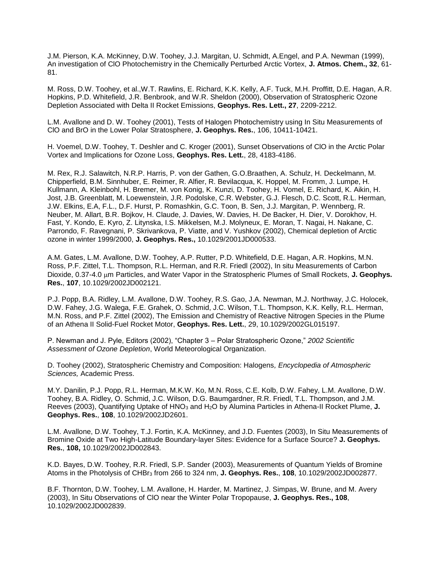J.M. Pierson, K.A. McKinney, D.W. Toohey, J.J. Margitan, U. Schmidt, A.Engel, and P.A. Newman (1999), An investigation of ClO Photochemistry in the Chemically Perturbed Arctic Vortex, **J. Atmos. Chem., 32**, 61- 81.

M. Ross, D.W. Toohey, et al.,W.T. Rawlins, E. Richard, K.K. Kelly, A.F. Tuck, M.H. Proffitt, D.E. Hagan, A.R. Hopkins, P.D. Whitefield, J.R. Benbrook, and W.R. Sheldon (2000), Observation of Stratospheric Ozone Depletion Associated with Delta II Rocket Emissions, **Geophys. Res. Lett., 27**, 2209-2212.

L.M. Avallone and D. W. Toohey (2001), Tests of Halogen Photochemistry using In Situ Measurements of ClO and BrO in the Lower Polar Stratosphere, **J. Geophys. Res.**, 106, 10411-10421.

H. Voemel, D.W. Toohey, T. Deshler and C. Kroger (2001), Sunset Observations of ClO in the Arctic Polar Vortex and Implications for Ozone Loss, **Geophys. Res. Lett.**, 28, 4183-4186.

M. Rex, R.J. Salawitch, N.R.P. Harris, P. von der Gathen, G.O.Braathen, A. Schulz, H. Deckelmann, M. Chipperfield, B.M. Sinnhuber, E. Reimer, R. Alfier, R. Bevilacqua, K. Hoppel, M. Fromm, J. Lumpe, H. Kullmann, A. Kleinbohl, H. Bremer, M. von Konig, K. Kunzi, D. Toohey, H. Vomel, E. Richard, K. Aikin, H. Jost, J.B. Greenblatt, M. Loewenstein, J.R. Podolske, C.R. Webster, G.J. Flesch, D.C. Scott, R.L. Herman, J.W. Elkins, E.A, F.L., D.F. Hurst, P. Romashkin, G.C. Toon, B. Sen, J.J. Margitan, P. Wennberg, R. Neuber, M. Allart, B.R. Bojkov, H. Claude, J. Davies, W. Davies, H. De Backer, H. Dier, V. Dorokhov, H. Fast, Y. Kondo, E. Kyro, Z. Litynska, I.S. Mikkelsen, M.J. Molyneux, E. Moran, T. Nagai, H. Nakane, C. Parrondo, F. Ravegnani, P. Skrivankova, P. Viatte, and V. Yushkov (2002), Chemical depletion of Arctic ozone in winter 1999/2000, **J. Geophys. Res.,** 10.1029/2001JD000533.

A.M. Gates, L.M. Avallone, D.W. Toohey, A.P. Rutter, P.D. Whitefield, D.E. Hagan, A.R. Hopkins, M.N. Ross, P.F. Zittel, T.L. Thompson, R.L. Herman, and R.R. Friedl (2002), In situ Measurements of Carbon Dioxide, 0.37-4.0 μm Particles, and Water Vapor in the Stratospheric Plumes of Small Rockets, J. Geophys. **Res.**, **107**, 10.1029/2002JD002121.

P.J. Popp, B.A. Ridley, L.M. Avallone, D.W. Toohey, R.S. Gao, J.A. Newman, M.J. Northway, J.C. Holocek, D.W. Fahey, J.G. Walega, F.E. Grahek, O. Schmid, J.C. Wilson, T.L. Thompson, K.K. Kelly, R.L. Herman, M.N. Ross, and P.F. Zittel (2002), The Emission and Chemistry of Reactive Nitrogen Species in the Plume of an Athena II Solid-Fuel Rocket Motor, **Geophys. Res. Lett.**, 29, 10.1029/2002GL015197.

P. Newman and J. Pyle, Editors (2002), "Chapter 3 – Polar Stratospheric Ozone," *2002 Scientific Assessment of Ozone Depletion*, World Meteorological Organization.

D. Toohey (2002), Stratospheric Chemistry and Composition: Halogens*, Encyclopedia of Atmospheric Sciences,* Academic Press.

M.Y. Danilin, P.J. Popp, R.L. Herman, M.K.W. Ko, M.N. Ross, C.E. Kolb, D.W. Fahey, L.M. Avallone, D.W. Toohey, B.A. Ridley, O. Schmid, J.C. Wilson, D.G. Baumgardner, R.R. Friedl, T.L. Thompson, and J.M. Reeves (2003), Quantifying Uptake of HNO<sub>3</sub> and H<sub>2</sub>O by Alumina Particles in Athena-II Rocket Plume, J. **Geophys. Res.**, **108**, 10.1029/2002JD2601.

L.M. Avallone, D.W. Toohey, T.J. Fortin, K.A. McKinney, and J.D. Fuentes (2003), In Situ Measurements of Bromine Oxide at Two High-Latitude Boundary-layer Sites: Evidence for a Surface Source? **J. Geophys. Res.**, **108,** 10.1029/2002JD002843.

K.D. Bayes, D.W. Toohey, R.R. Friedl, S.P. Sander (2003), Measurements of Quantum Yields of Bromine Atoms in the Photolysis of CHBr<sup>3</sup> from 266 to 324 nm, **J. Geophys. Res.**, **108**, 10.1029/2002JD002877.

B.F. Thornton, D.W. Toohey, L.M. Avallone, H. Harder, M. Martinez, J. Simpas, W. Brune, and M. Avery (2003), In Situ Observations of ClO near the Winter Polar Tropopause, **J. Geophys. Res., 108**, 10.1029/2002JD002839.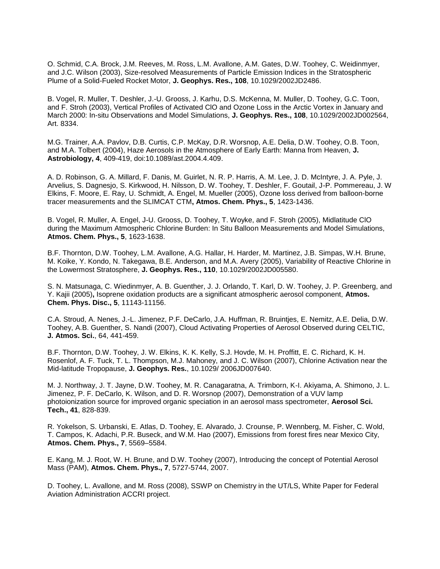O. Schmid, C.A. Brock, J.M. Reeves, M. Ross, L.M. Avallone, A.M. Gates, D.W. Toohey, C. Weidinmyer, and J.C. Wilson (2003), Size-resolved Measurements of Particle Emission Indices in the Stratospheric Plume of a Solid-Fueled Rocket Motor, **J. Geophys. Res., 108**, 10.1029/2002JD2486.

B. Vogel, R. Muller, T. Deshler, J.-U. Grooss, J. Karhu, D.S. McKenna, M. Muller, D. Toohey, G.C. Toon, and F. Stroh (2003), Vertical Profiles of Activated ClO and Ozone Loss in the Arctic Vortex in January and March 2000: In-situ Observations and Model Simulations, **J. Geophys. Res., 108**, 10.1029/2002JD002564, Art. 8334.

M.G. Trainer, A.A. Pavlov, D.B. Curtis, C.P. McKay, D.R. Worsnop, A.E. Delia, D.W. Toohey, O.B. Toon, and M.A. Tolbert (2004), Haze Aerosols in the Atmosphere of Early Earth: Manna from Heaven, **J. Astrobiology, 4**, 409-419, doi:10.1089/ast.2004.4.409.

A. D. Robinson, G. A. Millard, F. Danis, M. Guirlet, N. R. P. Harris, A. M. Lee, J. D. McIntyre, J. A. Pyle, J. Arvelius, S. Dagnesjo, S. Kirkwood, H. Nilsson, D. W. Toohey, T. Deshler, F. Goutail, J-P. Pommereau, J. W Elkins, F. Moore, E. Ray, U. Schmidt, A. Engel, M. Mueller (2005), Ozone loss derived from balloon-borne tracer measurements and the SLIMCAT CTM**, Atmos. Chem. Phys., 5**, 1423-1436.

B. Vogel, R. Muller, A. Engel, J-U. Grooss, D. Toohey, T. Woyke, and F. Stroh (2005), Midlatitude ClO during the Maximum Atmospheric Chlorine Burden: In Situ Balloon Measurements and Model Simulations, **Atmos. Chem. Phys., 5**, 1623-1638.

B.F. Thornton, D.W. Toohey, L.M. Avallone, A.G. Hallar, H. Harder, M. Martinez, J.B. Simpas, W.H. Brune, M. Koike, Y. Kondo, N. Takegawa, B.E. Anderson, and M.A. Avery (2005), Variability of Reactive Chlorine in the Lowermost Stratosphere, **J. Geophys. Res., 110**, 10.1029/2002JD005580.

S. N. Matsunaga, C. Wiedinmyer, A. B. Guenther, J. J. Orlando, T. Karl, D. W. Toohey, J. P. Greenberg, and Y. Kajii (2005)**,** Isoprene oxidation products are a significant atmospheric aerosol component, **Atmos. Chem. Phys. Disc., 5**, 11143-11156.

C.A. Stroud, A. Nenes, J.-L. Jimenez, P.F. DeCarlo, J.A. Huffman, R. Bruintjes, E. Nemitz, A.E. Delia, D.W. Toohey, A.B. Guenther, S. Nandi (2007), Cloud Activating Properties of Aerosol Observed during CELTIC, **J. Atmos. Sci.**, 64, 441-459.

B.F. Thornton, D.W. Toohey, J. W. Elkins, K. K. Kelly, S.J. Hovde, M. H. Proffitt, E. C. Richard, K. H. Rosenlof, A. F. Tuck, T. L. Thompson, M.J. Mahoney, and J. C. Wilson (2007), Chlorine Activation near the Mid-latitude Tropopause, **J. Geophys. Res.**, 10.1029/ 2006JD007640.

M. J. Northway, J. T. Jayne, D.W. Toohey, M. R. Canagaratna, A. Trimborn, K-I. Akiyama, A. Shimono, J. L. Jimenez, P. F. DeCarlo, K. Wilson, and D. R. Worsnop (2007), Demonstration of a VUV lamp photoionization source for improved organic speciation in an aerosol mass spectrometer, **Aerosol Sci. Tech., 41**, 828-839.

R. Yokelson, S. Urbanski, E. Atlas, D. Toohey, E. Alvarado, J. Crounse, P. Wennberg, M. Fisher, C. Wold, T. Campos, K. Adachi, P.R. Buseck, and W.M. Hao (2007), Emissions from forest fires near Mexico City, **Atmos. Chem. Phys., 7**, 5569–5584.

E. Kang, M. J. Root, W. H. Brune, and D.W. Toohey (2007), Introducing the concept of Potential Aerosol Mass (PAM), **Atmos. Chem. Phys., 7**, 5727-5744, 2007.

D. Toohey, L. Avallone, and M. Ross (2008), SSWP on Chemistry in the UT/LS, White Paper for Federal Aviation Administration ACCRI project.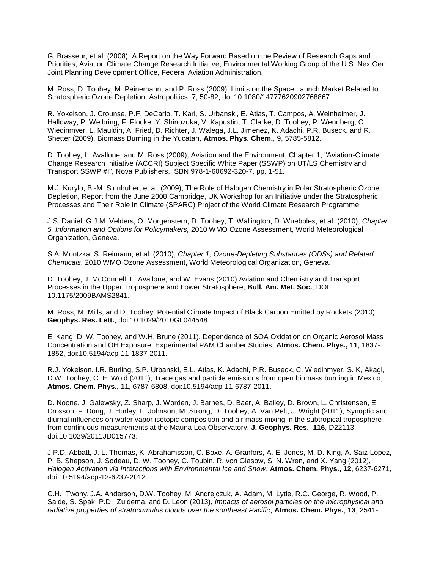G. Brasseur, et al. (2008), A Report on the Way Forward Based on the Review of Research Gaps and Priorities, Aviation Climate Change Research Initiative, Environmental Working Group of the U.S. NextGen Joint Planning Development Office, Federal Aviation Administration.

M. Ross, D. Toohey, M. Peinemann, and P. Ross (2009), Limits on the Space Launch Market Related to Stratospheric Ozone Depletion, Astropolitics, 7, 50-82, doi:10.1080/14777620902768867.

R. Yokelson, J. Crounse, P.F. DeCarlo, T. Karl, S. Urbanski, E. Atlas, T. Campos, A. Weinheimer, J. Halloway, P. Weibring, F. Flocke, Y. Shinozuka, V. Kapustin, T. Clarke, D. Toohey, P. Wennberg, C. Wiedinmyer, L. Mauldin, A. Fried, D. Richter, J. Walega, J.L. Jimenez, K. Adachi, P.R. Buseck, and R. Shetter (2009), Biomass Burning in the Yucatan, **Atmos. Phys. Chem.**, 9, 5785-5812.

D. Toohey, L. Avallone, and M. Ross (2009), Aviation and the Environment, Chapter 1, "Aviation-Climate Change Research Initiative (ACCRI) Subject Specific White Paper (SSWP) on UT/LS Chemistry and Transport SSWP #I", Nova Publishers, ISBN 978-1-60692-320-7, pp. 1-51.

M.J. Kurylo, B.-M. Sinnhuber, et al. (2009), The Role of Halogen Chemistry in Polar Stratospheric Ozone Depletion, Report from the June 2008 Cambridge, UK Workshop for an Initiative under the Stratospheric Processes and Their Role in Climate (SPARC) Project of the World Climate Research Programme.

J.S. Daniel, G.J.M. Velders, O. Morgenstern, D. Toohey, T. Wallington, D. Wuebbles, et al. (2010), *Chapter 5, Information and Options for Policymakers,* 2010 WMO Ozone Assessment*,* World Meteorological Organization, Geneva.

S.A. Montzka, S. Reimann, et al. (2010), *Chapter 1, Ozone-Depleting Substances (ODSs) and Related Chemicals*, 2010 WMO Ozone Assessment, World Meteorological Organization, Geneva.

D. Toohey, J. McConnell, L. Avallone, and W. Evans (2010) Aviation and Chemistry and Transport Processes in the Upper Troposphere and Lower Stratosphere, **Bull. Am. Met. Soc.**, DOI: 10.1175/2009BAMS2841.

M. Ross, M. Mills, and D. Toohey, Potential Climate Impact of Black Carbon Emitted by Rockets (2010), **Geophys. Res. Lett.**, doi:10.1029/2010GL044548.

E. Kang, D. W. Toohey, and W.H. Brune (2011), Dependence of SOA Oxidation on Organic Aerosol Mass Concentration and OH Exposure: Experimental PAM Chamber Studies, **Atmos. Chem. Phys., 11**, 1837- 1852, doi:10.5194/acp-11-1837-2011.

R.J. Yokelson, I.R. Burling, S.P. Urbanski, E.L. Atlas, K. Adachi, P.R. Buseck, C. Wiedinmyer, S. K, Akagi, D.W. Toohey, C. E. Wold (2011), Trace gas and particle emissions from open biomass burning in Mexico, **Atmos. Chem. Phys., 11**, 6787-6808, doi:10.5194/acp-11-6787-2011.

D. Noone, J. Galewsky, Z. Sharp, J. Worden, J. Barnes, D. Baer, A. Bailey, D. Brown, L. Christensen, E. Crosson, F. Dong, J. Hurley, L. Johnson, M. Strong, D. Toohey, A. Van Pelt, J. Wright (2011), Synoptic and diurnal influences on water vapor isotopic composition and air mass mixing in the subtropical troposphere from continuous measurements at the Mauna Loa Observatory, **J. Geophys. Res.**, **116**, D22113, doi:10.1029/2011JD015773.

J.P.D. Abbatt, J. L. Thomas, K. Abrahamsson, C. Boxe, A. Granfors, A. E. Jones, M. D. King, A. Saiz-Lopez, P. B. Shepson, J. Sodeau, D. W. Toohey, C. Toubin, R. von Glasow, S. N. Wren, and X. Yang (2012), *Halogen Activation via Interactions with Environmental Ice and Snow*, **Atmos. Chem. Phys.**, **12**, 6237-6271, doi:10.5194/acp-12-6237-2012.

C.H. Twohy, J.A. Anderson, D.W. Toohey, M. Andrejczuk, A. Adam, M. Lytle, R.C. George, R. Wood, P. Saide, S. Spak, P.D. Zuidema, and D. Leon (2013), *Impacts of aerosol particles on the microphysical and radiative properties of stratocumulus clouds over the southeast Pacific*, **Atmos. Chem. Phys.**, **13**, 2541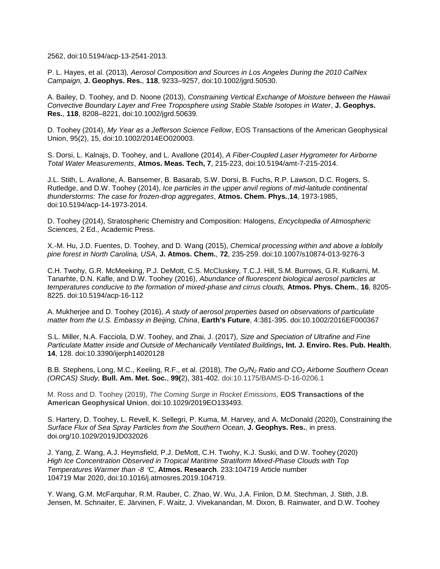2562, doi:10.5194/acp-13-2541-2013.

P. L. Hayes, et al. (2013)*, Aerosol Composition and Sources in Los Angeles During the 2010 CalNex Campaign,* **J. Geophys. Res.**, **118**, 9233–9257, doi:10.1002/jgrd.50530.

A. Bailey, D. Toohey, and D. Noone (2013), *Constraining Vertical Exchange of Moisture between the Hawaii Convective Boundary Layer and Free Troposphere using Stable Stable Isotopes in Water*, **J. Geophys. Res.**, **118**, 8208–8221, doi:10.1002/jgrd.50639.

D. Toohey (2014), *My Year as a Jefferson Science Fellow*, EOS Transactions of the American Geophysical Union, 95(2), 15, doi:10.1002/2014EO020003.

S. Dorsi, L. Kalnajs, D. Toohey, and L. Avallone (2014), *A Fiber-Coupled Laser Hygrometer for Airborne Total Water Measurements*, **Atmos. Meas. Tech, 7**, 215-223, doi:10.5194/amt-7-215-2014.

J.L. Stith, L. Avallone, A. Bansemer, B. Basarab, S.W. Dorsi, B. Fuchs, R.P. Lawson, D.C. Rogers, S. Rutledge, and D.W. Toohey (2014), *Ice particles in the upper anvil regions of mid-latitude continental thunderstorms: The case for frozen-drop aggregates*, **Atmos. Chem. Phys.**,**14**, 1973-1985, doi:10.5194/acp-14-1973-2014.

D. Toohey (2014), Stratospheric Chemistry and Composition: Halogens*, Encyclopedia of Atmospheric Sciences,* 2 Ed., Academic Press.

X.-M. Hu, J.D. Fuentes, D. Toohey, and D. Wang (2015), *Chemical processing within and above a loblolly pine forest in North Carolina, USA*, **J. Atmos. Chem.**, **72**, 235-259. doi:10.1007/s10874-013-9276-3

C.H. Twohy, G.R. McMeeking, P.J. DeMott, C.S. McCluskey, T.C.J. Hill, S.M. Burrows, G.R. Kulkarni, M. Tanarhte, D.N. Kafle, and D.W. Toohey (2016), *Abundance of fluorescent biological aerosol particles at temperatures conducive to the formation of mixed-phase and cirrus clouds,* **Atmos. Phys. Chem.**, **16**, 8205- 8225. doi:10.5194/acp-16-112

A. Mukherjee and D. Toohey (2016), *A study of aerosol properties based on observations of particulate matter from the U.S. Embassy in Beijing, China*, **Earth's Future**, 4:381-395. doi:10.1002/2016EF000367

S.L. Miller, N.A. Facciola, D.W. Toohey, and Zhai, J. (2017), *Size and Speciation of Ultrafine and Fine Particulate Matter inside and Outside of Mechanically Ventilated Buildings,* **Int. J. Enviro. Res. Pub. Health**, **14**, 128. doi:10.3390/ijerph14020128

B.B. Stephens, Long, M.C., Keeling, R.F., et al. (2018)*, The O2/N<sup>2</sup> Ratio and CO<sup>2</sup> Airborne Southern Ocean (ORCAS) Study,* **Bull. Am. Met. Soc.**, **99(**2), 381-402. [doi:10.1175/BAMS-D-16-0206.1](https://doi.org/10.1175/BAMS-D-16-0206.1)

M. Ross and D. Toohey (2019), *The Coming Surge in Rocket Emissions,* **EOS Transactions of the American Geophysical Union**, doi:10.1029/2019EO133493.

S. Hartery, D. Toohey, L. Revell, K. Sellegri, P. Kuma, M. Harvey, and A. McDonald (2020), Constraining the *Surface Flux of Sea Spray Particles from the Southern Ocean*, **J. Geophys. Res.**, in press. doi.org/10.1029/2019JD032026

J. Yang, Z. Wang, A.J. Heymsfield, P.J. DeMott, C.H. Twohy, K.J. Suski, and D.W. Toohey (2020) *High Ice Concentration Observed in Tropical Maritime Stratiform Mixed-Phase Clouds with Top Temperatures Warmer than -8 C*, **Atmos. Research**. 233:104719 Article number 104719 Mar 2020, doi:10.1016/j.atmosres.2019.104719.

Y. Wang, G.M. McFarquhar, R.M. Rauber, C. Zhao, W. Wu, J.A. Finlon, D.M. Stechman, J. Stith, J.B. Jensen, M. Schnaiter, E. Järvinen, F. Waitz, J. Vivekanandan, M. Dixon, B. Rainwater, and D.W. Toohey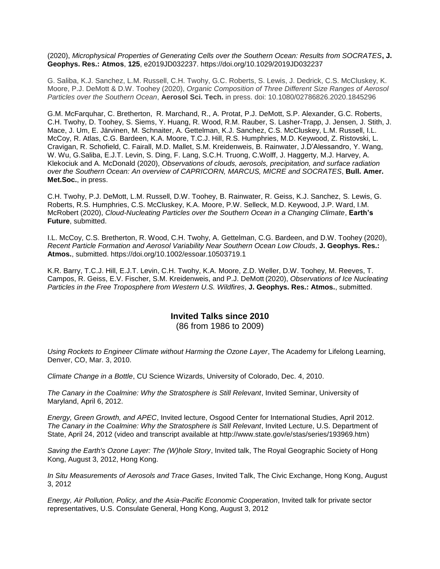(2020), *Microphysical Properties of Generating Cells over the Southern Ocean: Results from SOCRATES***, J. Geophys. Res.: Atmos**, **125**, e2019JD032237. https://doi.org/10.1029/2019JD032237

G. Saliba, K.J. Sanchez, L.M. Russell, C.H. Twohy, G.C. Roberts, S. Lewis, J. Dedrick, C.S. McCluskey, K. Moore, P.J. DeMott & D.W. Toohey (2020), *Organic Composition of Three Different Size Ranges of Aerosol Particles over the Southern Ocean*, **Aerosol Sci. Tech.** in press. doi: [10.1080/02786826.2020.1845296](https://doi.org/10.1080/02786826.2020.1845296)

G.M. McFarquhar, C. Bretherton, R. Marchand, R., A. Protat, P.J. DeMott, S.P. Alexander, G.C. Roberts, C.H. Twohy, D. Toohey, S. Siems, Y. Huang, R. Wood, R.M. Rauber, S. Lasher-Trapp, J. Jensen, J. Stith, J. Mace, J. Um, E. Järvinen, M. Schnaiter, A. Gettelman, K.J. Sanchez, C.S. McCluskey, L.M. Russell, I.L. McCoy, R. Atlas, C.G. Bardeen, K.A. Moore, T.C.J. Hill, R.S. Humphries, M.D. Keywood, Z. Ristovski, L. Cravigan, R. Schofield, C. Fairall, M.D. Mallet, S.M. Kreidenweis, B. Rainwater, J.D'Alessandro, Y. Wang, W. Wu, G.Saliba, E.J.T. Levin, S. Ding, F. Lang, S.C.H. Truong, C.Wolff, J. Haggerty, M.J. Harvey, A. Klekociuk and A. McDonald (2020), *Observations of clouds, aerosols, precipitation, and surface radiation over the Southern Ocean: An overview of CAPRICORN, MARCUS, MICRE and SOCRATES*, **Bull. Amer. Met.Soc.**, in press.

C.H. Twohy, P.J. DeMott, L.M. Russell, D.W. Toohey, B. Rainwater, R. Geiss, K.J. Sanchez, S. Lewis, G. Roberts, R.S. Humphries, C.S. McCluskey, K.A. Moore, P.W. Selleck, M.D. Keywood, J.P. Ward, I.M. McRobert (2020), *Cloud-Nucleating Particles over the Southern Ocean in a Changing Climate*, **Earth's Future**, submitted.

I.L. McCoy, C.S. Bretherton, R. Wood, C.H. Twohy, A. Gettelman, C.G. Bardeen, and D.W. Toohey (2020), *Recent Particle Formation and Aerosol Variability Near Southern Ocean Low Clouds*, **J. Geophys. Res.: Atmos.**, submitted. https://doi.org/10.1002/essoar.10503719.1

K.R. Barry, T.C.J. Hill, E.J.T. Levin, C.H. Twohy, K.A. Moore, Z.D. Weller, D.W. Toohey, M. Reeves, T. Campos, R. Geiss, E.V. Fischer, S.M. Kreidenweis, and P.J. DeMott (2020), *Observations of Ice Nucleating Particles in the Free Troposphere from Western U.S. Wildfires*, **J. Geophys. Res.: Atmos.**, submitted.

## **Invited Talks since 2010**

(86 from 1986 to 2009)

*Using Rockets to Engineer Climate without Harming the Ozone Layer*, The Academy for Lifelong Learning, Denver, CO, Mar. 3, 2010.

*Climate Change in a Bottle*, CU Science Wizards, University of Colorado, Dec. 4, 2010.

*The Canary in the Coalmine: Why the Stratosphere is Still Relevant*, Invited Seminar, University of Maryland, April 6, 2012.

*Energy, Green Growth, and APEC*, Invited lecture, Osgood Center for International Studies, April 2012. *The Canary in the Coalmine: Why the Stratosphere is Still Relevant*, Invited Lecture, U.S. Department of State, April 24, 2012 (video and transcript available at http://www.state.gov/e/stas/series/193969.htm)

*Saving the Earth's Ozone Layer: The (W)hole Story*, Invited talk, The Royal Geographic Society of Hong Kong, August 3, 2012, Hong Kong.

*In Situ Measurements of Aerosols and Trace Gases*, Invited Talk, The Civic Exchange, Hong Kong, August 3, 2012

*Energy, Air Pollution, Policy, and the Asia-Pacific Economic Cooperation*, Invited talk for private sector representatives, U.S. Consulate General, Hong Kong, August 3, 2012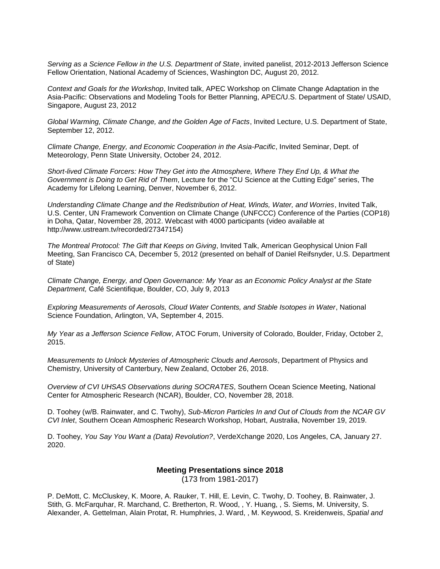*Serving as a Science Fellow in the U.S. Department of State*, invited panelist, 2012-2013 Jefferson Science Fellow Orientation, National Academy of Sciences, Washington DC, August 20, 2012.

*Context and Goals for the Workshop*, Invited talk, APEC Workshop on Climate Change Adaptation in the Asia-Pacific: Observations and Modeling Tools for Better Planning, APEC/U.S. Department of State/ USAID, Singapore, August 23, 2012

*Global Warming, Climate Change, and the Golden Age of Facts*, Invited Lecture, U.S. Department of State, September 12, 2012.

*Climate Change, Energy, and Economic Cooperation in the Asia-Pacific*, Invited Seminar, Dept. of Meteorology, Penn State University, October 24, 2012.

*Short-lived Climate Forcers: How They Get into the Atmosphere, Where They End Up, & What the Government is Doing to Get Rid of Them*, Lecture for the "CU Science at the Cutting Edge" series, The Academy for Lifelong Learning, Denver, November 6, 2012.

*Understanding Climate Change and the Redistribution of Heat, Winds, Water, and Worries*, Invited Talk, U.S. Center, UN Framework Convention on Climate Change (UNFCCC) Conference of the Parties (COP18) in Doha, Qatar, November 28, 2012. Webcast with 4000 participants (video available at http://www.ustream.tv/recorded/27347154)

*The Montreal Protocol: The Gift that Keeps on Giving*, Invited Talk, American Geophysical Union Fall Meeting, San Francisco CA, December 5, 2012 (presented on behalf of Daniel Reifsnyder, U.S. Department of State)

*Climate Change, Energy, and Open Governance: My Year as an Economic Policy Analyst at the State Department,* Café Scientifique, Boulder, CO, July 9, 2013

*Exploring Measurements of Aerosols, Cloud Water Contents, and Stable Isotopes in Water*, National Science Foundation, Arlington, VA, September 4, 2015.

*My Year as a Jefferson Science Fellow*, ATOC Forum, University of Colorado, Boulder, Friday, October 2, 2015.

*Measurements to Unlock Mysteries of Atmospheric Clouds and Aerosols*, Department of Physics and Chemistry, University of Canterbury, New Zealand, October 26, 2018.

*Overview of CVI UHSAS Observations during SOCRATES*, Southern Ocean Science Meeting, National Center for Atmospheric Research (NCAR), Boulder, CO, November 28, 2018.

D. Toohey (w/B. Rainwater, and C. Twohy), *Sub-Micron Particles In and Out of Clouds from the NCAR GV CVI Inlet*, Southern Ocean Atmospheric Research Workshop, Hobart, Australia, November 19, 2019.

D. Toohey, *You Say You Want a (Data) Revolution?*, VerdeXchange 2020, Los Angeles, CA, January 27. 2020.

#### **Meeting Presentations since 2018** (173 from 1981-2017)

P. DeMott, C. McCluskey, K. Moore, A. Rauker, T. Hill, E. Levin, C. Twohy, D. Toohey, B. Rainwater, J. Stith, G. McFarquhar, R. Marchand, C. Bretherton, R. Wood, , Y. Huang, , S. Siems, M. University, S. Alexander, A. Gettelman, Alain Protat, R. Humphries, J. Ward, , M. Keywood, S. Kreidenweis, *Spatial and*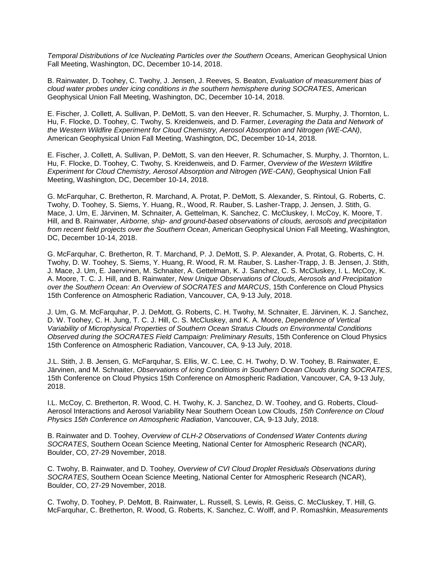*Temporal Distributions of Ice Nucleating Particles over the Southern Oceans*, American Geophysical Union Fall Meeting, Washington, DC, December 10-14, 2018.

B. Rainwater, D. Toohey, C. Twohy, J. Jensen, J. Reeves, S. Beaton, *Evaluation of measurement bias of cloud water probes under icing conditions in the southern hemisphere during SOCRATES*, American Geophysical Union Fall Meeting, Washington, DC, December 10-14, 2018.

E. Fischer, J. Collett, A. Sullivan, P. DeMott, S. van den Heever, R. Schumacher, S. Murphy, J. Thornton, L. Hu, F. Flocke, D. Toohey, C. Twohy, S. Kreidenweis, and D. Farmer, *Leveraging the Data and Network of the Western Wildfire Experiment for Cloud Chemistry, Aerosol Absorption and Nitrogen (WE-CAN)*, American Geophysical Union Fall Meeting, Washington, DC, December 10-14, 2018.

E. Fischer, J. Collett, A. Sullivan, P. DeMott, S. van den Heever, R. Schumacher, S. Murphy, J. Thornton, L. Hu, F. Flocke, D. Toohey, C. Twohy, S. Kreidenweis, and D. Farmer, *Overview of the Western Wildfire Experiment for Cloud Chemistry, Aerosol Absorption and Nitrogen (WE-CAN)*, Geophysical Union Fall Meeting, Washington, DC, December 10-14, 2018.

G. McFarquhar, C. Bretherton, R. Marchand, A. Protat, P. DeMott, S. Alexander, S. Rintoul, G. Roberts, C. Twohy, D. Toohey, S. Siems, Y. Huang, R., Wood, R. Rauber, S. Lasher-Trapp, J. Jensen, J. Stith, G. Mace, J. Um, E. Järvinen, M. Schnaiter, A. Gettelman, K. Sanchez, C. McCluskey, I. McCoy, K. Moore, T. Hill, and B. Rainwater, *Airborne, ship- and ground-based observations of clouds, aerosols and precipitation from recent field projects over the Southern Ocean*, American Geophysical Union Fall Meeting, Washington, DC, December 10-14, 2018.

G. McFarquhar, C. Bretherton, R. T. Marchand, P. J. DeMott, S. P. Alexander, A. Protat, G. Roberts, C. H. Twohy, D. W. Toohey, S. Siems, Y. Huang, R. Wood, R. M. Rauber, S. Lasher-Trapp, J. B. Jensen, J. Stith, J. Mace, J. Um, E. Jaervinen, M. Schnaiter, A. Gettelman, K. J. Sanchez, C. S. McCluskey, I. L. McCoy, K. A. Moore, T. C. J. Hill, and B. Rainwater, *New Unique Observations of Clouds, Aerosols and Precipitation over the Southern Ocean: An Overview of SOCRATES and MARCUS*, 15th Conference on Cloud Physics 15th Conference on Atmospheric Radiation, Vancouver, CA, 9-13 July, 2018.

J. Um, G. M. McFarquhar, P. J. DeMott, G. Roberts, C. H. Twohy, M. Schnaiter, E. Järvinen, K. J. Sanchez, D. W. Toohey, C. H. Jung, T. C. J. Hill, C. S. McCluskey, and K. A. Moore, *Dependence of Vertical Variability of Microphysical Properties of Southern Ocean Stratus Clouds on Environmental Conditions Observed during the SOCRATES Field Campaign: Preliminary Results*, 15th Conference on Cloud Physics 15th Conference on Atmospheric Radiation, Vancouver, CA, 9-13 July, 2018.

J.L. Stith, J. B. Jensen, G. McFarquhar, S. Ellis, W. C. Lee, C. H. Twohy, D. W. Toohey, B. Rainwater, E. Järvinen, and M. Schnaiter, *Observations of Icing Conditions in Southern Ocean Clouds during SOCRATES*, 15th Conference on Cloud Physics 15th Conference on Atmospheric Radiation, Vancouver, CA, 9-13 July, 2018.

I.L. McCoy, C. Bretherton, R. Wood, C. H. Twohy, K. J. Sanchez, D. W. Toohey, and G. Roberts, Cloud-Aerosol Interactions and Aerosol Variability Near Southern Ocean Low Clouds, *15th Conference on Cloud Physics 15th Conference on Atmospheric Radiation*, Vancouver, CA, 9-13 July, 2018.

B. Rainwater and D. Toohey, *Overview of CLH-2 Observations of Condensed Water Contents during SOCRATES*, Southern Ocean Science Meeting, National Center for Atmospheric Research (NCAR), Boulder, CO, 27-29 November, 2018.

C. Twohy, B. Rainwater, and D. Toohey*, Overview of CVI Cloud Droplet Residuals Observations during SOCRATES*, Southern Ocean Science Meeting, National Center for Atmospheric Research (NCAR), Boulder, CO, 27-29 November, 2018.

C. Twohy, D. Toohey, P. DeMott, B. Rainwater, L. Russell, S. Lewis, R. Geiss, C. McCluskey, T. Hill, G. McFarquhar, C. Bretherton, R. Wood, G. Roberts, K. Sanchez, C. Wolff, and P. Romashkin, *Measurements*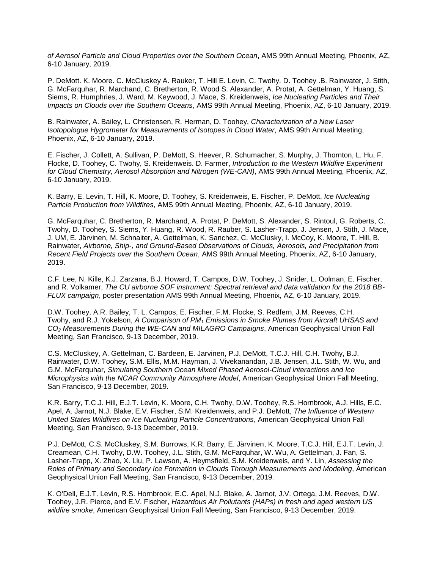*of Aerosol Particle and Cloud Properties over the Southern Ocean*, AMS 99th Annual Meeting, Phoenix, AZ, 6-10 January, 2019.

P. DeMott. K. Moore. C. McCluskey A. Rauker, T. Hill E. Levin, C. Twohy. D. Toohey .B. Rainwater, J. Stith, G. McFarquhar, R. Marchand, C. Bretherton, R. Wood S. Alexander, A. Protat, A. Gettelman, Y. Huang, S. Siems, R. Humphries, J. Ward, M. Keywood, J. Mace, S. Kreidenweis, *Ice Nucleating Particles and Their Impacts on Clouds over the Southern Oceans*, AMS 99th Annual Meeting, Phoenix, AZ, 6-10 January, 2019.

B. Rainwater, A. Bailey, L. Christensen, R. Herman, D. Toohey, *Characterization of a New Laser Isotopologue Hygrometer for Measurements of Isotopes in Cloud Water*, AMS 99th Annual Meeting, Phoenix, AZ, 6-10 January, 2019.

E. Fischer, J. Collett, A. Sullivan, P. DeMott, S. Heever, R. Schumacher, S. Murphy, J. Thornton, L. Hu, F. Flocke, D. Toohey, C. Twohy, S. Kreidenweis. D. Farmer, *Introduction to the Western Wildfire Experiment for Cloud Chemistry, Aerosol Absorption and Nitrogen (WE-CAN)*, AMS 99th Annual Meeting, Phoenix, AZ, 6-10 January, 2019.

K. Barry, E. Levin, T. Hill, K. Moore, D. Toohey, S. Kreidenweis, E. Fischer, P. DeMott, *Ice Nucleating Particle Production from Wildfires*, AMS 99th Annual Meeting, Phoenix, AZ, 6-10 January, 2019.

G. McFarquhar, C. Bretherton, R. Marchand, A. Protat, P. DeMott, S. Alexander, S. Rintoul, G. Roberts, C. Twohy, D. Toohey, S. Siems, Y. Huang, R. Wood, R. Rauber, S. Lasher-Trapp, J. Jensen, J. Stith, J. Mace, J. UM, E. Järvinen, M. Schnaiter, A. Gettelman, K. Sanchez, C. McClusky, I. McCoy, K. Moore, T. Hill, B. Rainwater, *Airborne, Ship-, and Ground-Based Observations of Clouds, Aerosols, and Precipitation from Recent Field Projects over the Southern Ocean*, AMS 99th Annual Meeting, Phoenix, AZ, 6-10 January, 2019.

C.F. Lee, N. Kille, K.J. Zarzana, B.J. Howard, T. Campos, D.W. Toohey, J. Snider, L. Oolman, E. Fischer, and R. Volkamer, *The CU airborne SOF instrument: Spectral retrieval and data validation for the 2018 BB-FLUX campaign*, poster presentation AMS 99th Annual Meeting, Phoenix, AZ, 6-10 January, 2019.

D.W. Toohey, A.R. Bailey, T. L. Campos, E. Fischer, F.M. Flocke, S. Redfern, J.M. Reeves, C.H. Twohy, and R.J. Yokelson, *A Comparison of PM<sup>1</sup> Emissions in Smoke Plumes from Aircraft UHSAS and CO<sup>2</sup> Measurements During the WE-CAN and MILAGRO Campaigns*, American Geophysical Union Fall Meeting, San Francisco, 9-13 December, 2019.

C.S. McCluskey, A. Gettelman, C. Bardeen, E. Jarvinen, P.J. DeMott, T.C.J. Hill, C.H. Twohy, B.J. Rainwater, D.W. Toohey, S.M. Ellis, M.M. Hayman, J. Vivekanandan, J.B. Jensen, J.L. Stith, W. Wu, and G.M. McFarquhar, *Simulating Southern Ocean Mixed Phased Aerosol-Cloud interactions and Ice Microphysics with the NCAR Community Atmosphere Model*, American Geophysical Union Fall Meeting, San Francisco, 9-13 December, 2019.

K.R. Barry, T.C.J. Hill, E.J.T. Levin, K. Moore, C.H. Twohy, D.W. Toohey, R.S. Hornbrook, A.J. Hills, E.C. Apel, A. Jarnot, N.J. Blake, E.V. Fischer, S.M. Kreidenweis, and P.J. DeMott, *The Influence of Western United States Wildfires on Ice Nucleating Particle Concentrations*, American Geophysical Union Fall Meeting, San Francisco, 9-13 December, 2019.

P.J. DeMott, C.S. McCluskey, S.M. Burrows, K.R. Barry, E. Järvinen, K. Moore, T.C.J. Hill, E.J.T. Levin, J. Creamean, C.H. Twohy, D.W. Toohey, J.L. Stith, G.M. McFarquhar, W. Wu, A. Gettelman, J. Fan, S. Lasher-Trapp, X. Zhao, X. Liu, P. Lawson, A. Heymsfield, S.M. Kreidenweis, and Y. Lin, *Assessing the Roles of Primary and Secondary Ice Formation in Clouds Through Measurements and Modeling*, American Geophysical Union Fall Meeting, San Francisco, 9-13 December, 2019.

K. O'Dell, E.J.T. Levin, R.S. Hornbrook, E.C. Apel, N.J. Blake, A. Jarnot, J.V. Ortega, J.M. Reeves, D.W. Toohey, J.R. Pierce, and E.V. Fischer, *Hazardous Air Pollutants (HAPs) in fresh and aged western US wildfire smoke*, American Geophysical Union Fall Meeting, San Francisco, 9-13 December, 2019.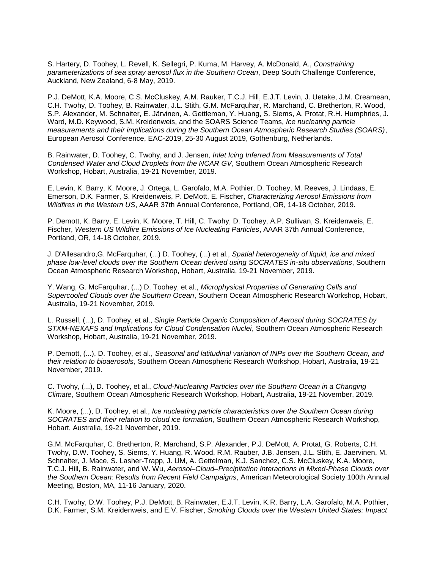S. Hartery, D. Toohey, L. Revell, K. Sellegri, P. Kuma, M. Harvey, A. McDonald, A., *Constraining parameterizations of sea spray aerosol flux in the Southern Ocean*, Deep South Challenge Conference, Auckland, New Zealand, 6-8 May, 2019.

P.J. DeMott, K.A. Moore, C.S. McCluskey, A.M. Rauker, T.C.J. Hill, E.J.T. Levin, J. Uetake, J.M. Creamean, C.H. Twohy, D. Toohey, B. Rainwater, J.L. Stith, G.M. McFarquhar, R. Marchand, C. Bretherton, R. Wood, S.P. Alexander, M. Schnaiter, E. Järvinen, A. Gettleman, Y. Huang, S. Siems, A. Protat, R.H. Humphries, J. Ward, M.D. Keywood, S.M. Kreidenweis, and the SOARS Science Teams, *Ice nucleating particle measurements and their implications during the Southern Ocean Atmospheric Research Studies (SOARS)*, European Aerosol Conference, EAC-2019, 25-30 August 2019, Gothenburg, Netherlands.

B. Rainwater, D. Toohey, C. Twohy, and J. Jensen*, Inlet Icing Inferred from Measurements of Total Condensed Water and Cloud Droplets from the NCAR GV*, Southern Ocean Atmospheric Research Workshop, Hobart, Australia, 19-21 November, 2019.

E, Levin, K. Barry, K. Moore, J. Ortega, L. Garofalo, M.A. Pothier, D. Toohey, M. Reeves, J. Lindaas, E. Emerson, D.K. Farmer, S. Kreidenweis, P. DeMott, E. Fischer, *Characterizing Aerosol Emissions from Wildfires in the Western US*, AAAR 37th Annual Conference, Portland, OR, 14-18 October, 2019.

P. Demott, K. Barry, E. Levin, K. Moore, T. Hill, C. Twohy, D. Toohey, A.P. Sullivan, S. Kreidenweis, E. Fischer, *Western US Wildfire Emissions of Ice Nucleating Particles*, AAAR 37th Annual Conference, Portland, OR, 14-18 October, 2019.

J. D'Allesandro,G. McFarquhar, (...) D. Toohey, (...) et al., *Spatial heterogeneity of liquid, ice and mixed phase low-level clouds over the Southern Ocean derived using SOCRATES in-situ observations*, Southern Ocean Atmospheric Research Workshop, Hobart, Australia, 19-21 November, 2019.

Y. Wang, G. McFarquhar, (...) D. Toohey, et al., *Microphysical Properties of Generating Cells and Supercooled Clouds over the Southern Ocean*, Southern Ocean Atmospheric Research Workshop, Hobart, Australia, 19-21 November, 2019.

L. Russell, (...), D. Toohey, et al., *Single Particle Organic Composition of Aerosol during SOCRATES by STXM-NEXAFS and Implications for Cloud Condensation Nuclei*, Southern Ocean Atmospheric Research Workshop, Hobart, Australia, 19-21 November, 2019.

P. Demott, (...), D. Toohey, et al., *Seasonal and latitudinal variation of INPs over the Southern Ocean, and their relation to bioaerosols*, Southern Ocean Atmospheric Research Workshop, Hobart, Australia, 19-21 November, 2019.

C. Twohy, (...), D. Toohey, et al., *Cloud-Nucleating Particles over the Southern Ocean in a Changing Climate*, Southern Ocean Atmospheric Research Workshop, Hobart, Australia, 19-21 November, 2019.

K. Moore, (...), D. Toohey, et al., *Ice nucleating particle characteristics over the Southern Ocean during SOCRATES and their relation to cloud ice formation*, Southern Ocean Atmospheric Research Workshop, Hobart, Australia, 19-21 November, 2019.

G.M. McFarquhar, C. Bretherton, R. Marchand, S.P. Alexander, P.J. DeMott, A. Protat, G. Roberts, C.H. Twohy, D.W. Toohey, S. Siems, Y. Huang, R. Wood, R.M. Rauber, J.B. Jensen, J.L. Stith, E. Jaervinen, M. Schnaiter, J. Mace, S. Lasher-Trapp, J. UM, A. Gettelman, K.J. Sanchez, C.S. McCluskey, K.A. Moore, T.C.J. Hill, B. Rainwater, and W. Wu, *Aerosol–Cloud–Precipitation Interactions in Mixed-Phase Clouds over the Southern Ocean: Results from Recent Field Campaigns*, American Meteorological Society 100th Annual Meeting, Boston, MA, 11-16 January, 2020.

C.H. Twohy, D.W. Toohey, P.J. DeMott, B. Rainwater, E.J.T. Levin, K.R. Barry, L.A. Garofalo, M.A. Pothier, D.K. Farmer, S.M. Kreidenweis, and E.V. Fischer, *Smoking Clouds over the Western United States: Impact*